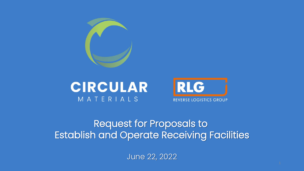





#### Request for Proposals to Establish and Operate Receiving Facilities

June 22, 2022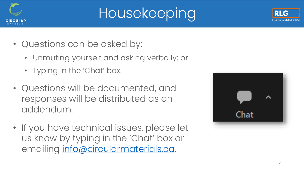

# Housekeeping



- Unmuting yourself and asking verbally; or
- Typing in the 'Chat' box.
- Questions will be documented, and responses will be distributed as an addendum.
- If you have technical issues, please let us know by typing in the 'Chat' box or emailing [info@circularmaterials.ca.](mailto:info@circularmaterials.ca)



2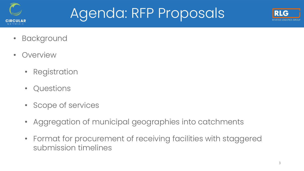

#### Agenda: RFP Proposals



- Background
- Overview
	- Registration
	- Questions
	- Scope of services
	- Aggregation of municipal geographies into catchments
	- Format for procurement of receiving facilities with staggered submission timelines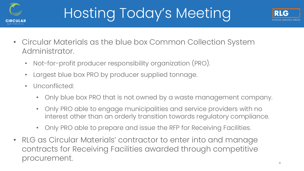

# Hosting Today's Meeting



- Circular Materials as the blue box Common Collection System Administrator.
	- Not-for-profit producer responsibility organization (PRO).
	- Largest blue box PRO by producer supplied tonnage.
	- Unconflicted:
		- Only blue box PRO that is not owned by a waste management company.
		- Only PRO able to engage municipalities and service providers with no interest other than an orderly transition towards regulatory compliance.
		- Only PRO able to prepare and issue the RFP for Receiving Facilities.
- RLG as Circular Materials' contractor to enter into and manage contracts for Receiving Facilities awarded through competitive procurement.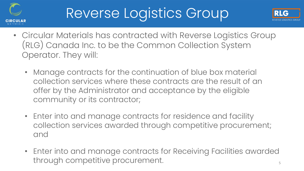

### Reverse Logistics Group



- Circular Materials has contracted with Reverse Logistics Group (RLG) Canada Inc. to be the Common Collection System Operator. They will:
	- Manage contracts for the continuation of blue box material collection services where these contracts are the result of an offer by the Administrator and acceptance by the eligible community or its contractor;
	- Enter into and manage contracts for residence and facility collection services awarded through competitive procurement; and
	- Enter into and manage contracts for Receiving Facilities awarded through competitive procurement.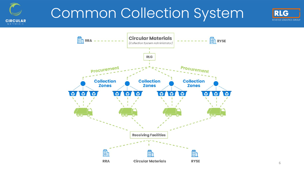

#### Common Collection System



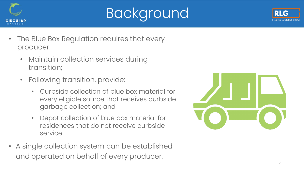

# Background



- The Blue Box Regulation requires that every producer:
	- Maintain collection services during transition;
	- Following transition, provide:
		- Curbside collection of blue box material for every eligible source that receives curbside garbage collection; and
		- Depot collection of blue box material for residences that do not receive curbside service.
- A single collection system can be established and operated on behalf of every producer.

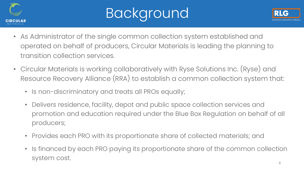

# Background



- As Administrator of the single common collection system established and operated on behalf of producers, Circular Materials is leading the planning to transition collection services.
- Circular Materials is working collaboratively with Ryse Solutions Inc. (Ryse) and Resource Recovery Alliance (RRA) to establish a common collection system that:
	- Is non-discriminatory and treats all PROs equally;
	- Delivers residence, facility, depot and public space collection services and promotion and education required under the Blue Box Regulation on behalf of all producers;
	- Provides each PRO with its proportionate share of collected materials; and
	- Is financed by each PRO paying its proportionate share of the common collection system cost.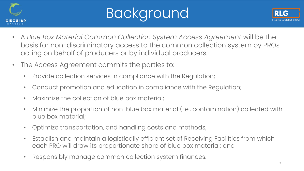

# Background



- A *Blue Box Material Common Collection System Access Agreement* will be the basis for non-discriminatory access to the common collection system by PROs acting on behalf of producers or by individual producers.
- The Access Agreement commits the parties to:
	- Provide collection services in compliance with the Regulation;
	- Conduct promotion and education in compliance with the Regulation;
	- Maximize the collection of blue box material;
	- Minimize the proportion of non-blue box material (i.e., contamination) collected with blue box material;
	- Optimize transportation, and handling costs and methods;
	- Establish and maintain a logistically efficient set of Receiving Facilities from which each PRO will draw its proportionate share of blue box material; and
	- Responsibly manage common collection system finances.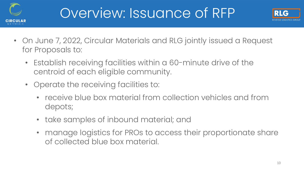

#### Overview: Issuance of RFP



- On June 7, 2022, Circular Materials and RLG jointly issued a Request for Proposals to:
	- Establish receiving facilities within a 60-minute drive of the centroid of each eligible community.
	- Operate the receiving facilities to:
		- receive blue box material from collection vehicles and from depots;
		- take samples of inbound material; and
		- manage logistics for PROs to access their proportionate share of collected blue box material.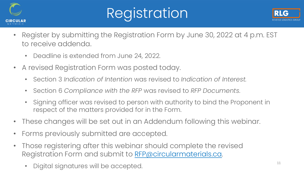

# Registration



- Register by submitting the Registration Form by June 30, 2022 at 4 p.m. EST to receive addenda.
	- Deadline is extended from June 24, 2022.
- A revised Registration Form was posted today.
	- Section 3 *Indication of Intention* was revised to *Indication of Interest.*
	- Section 6 *Compliance with the RFP* was revised to *RFP Documents*.
	- Signing officer was revised to person with authority to bind the Proponent in respect of the matters provided for in the Form.
- These changes will be set out in an Addendum following this webinar.
- Forms previously submitted are accepted.
- Those registering after this webinar should complete the revised Registration Form and submit to [RFP@circularmaterials.ca.](mailto:RFP@circularmaterials.ca)
	- Digital signatures will be accepted.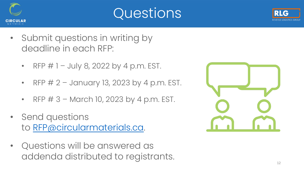





- Submit questions in writing by deadline in each RFP:
	- RFP  $# 1 July 8, 2022 by 4 p.m. EST.$
	- RFP  $# 2$  January 13, 2023 by 4 p.m. EST.
	- RFP  $# 3$  March 10, 2023 by 4 p.m. EST.
- Send questions to [RFP@circularmaterials.ca](mailto:RFP@circularmaterials.ca).
- Questions will be answered as addenda distributed to registrants.

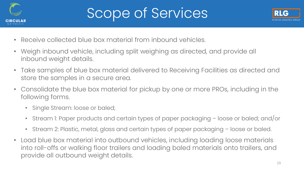

### Scope of Services



- Receive collected blue box material from inbound vehicles.
- Weigh inbound vehicle, including split weighing as directed, and provide all inbound weight details.
- Take samples of blue box material delivered to Receiving Facilities as directed and store the samples in a secure area.
- Consolidate the blue box material for pickup by one or more PROs, including in the following forms.
	- Single Stream: loose or baled;
	- Stream 1: Paper products and certain types of paper packaging loose or baled; and/or
	- Stream 2: Plastic, metal, glass and certain types of paper packaging loose or baled.
- Load blue box material into outbound vehicles, including loading loose materials into roll-offs or walking floor trailers and loading baled materials onto trailers, and provide all outbound weight details.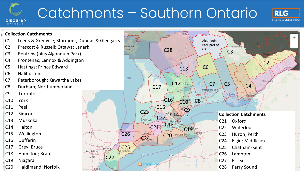# Catchments – Southern Ontario

**CIRCULAR** 



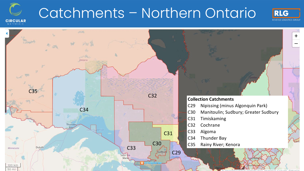

### Catchments – Northern Ontario



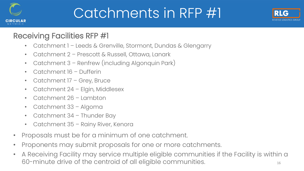

### Catchments in RFP #1



#### Receiving Facilities RFP #1

- Catchment 1 Leeds & Grenville, Stormont, Dundas & Glengarry
- Catchment 2 Prescott & Russell, Ottawa, Lanark
- Catchment 3 Renfrew (including Algonquin Park)
- Catchment 16 Dufferin
- Catchment 17 Grey, Bruce
- Catchment 24 Elgin, Middlesex
- Catchment 26 Lambton
- Catchment 33 Algoma
- Catchment 34 Thunder Bay
- Catchment 35 Rainy River, Kenora
- Proposals must be for a minimum of one catchment.
- Proponents may submit proposals for one or more catchments.
- A Receiving Facility may service multiple eligible communities if the Facility is within a 60-minute drive of the centroid of all eligible communities. The mannities of the control of  $^{16}$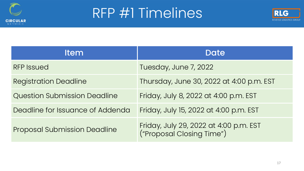

#### RFP #1 Timelines



| <b>Item</b>                         | Date                                                                |
|-------------------------------------|---------------------------------------------------------------------|
| <b>RFP Issued</b>                   | Tuesday, June 7, 2022                                               |
| <b>Registration Deadline</b>        | Thursday, June 30, 2022 at 4:00 p.m. EST                            |
| <b>Question Submission Deadline</b> | Friday, July 8, 2022 at 4:00 p.m. EST                               |
| Deadline for Issuance of Addenda    | Friday, July 15, 2022 at 4:00 p.m. EST                              |
| <b>Proposal Submission Deadline</b> | Friday, July 29, 2022 at 4:00 p.m. EST<br>("Proposal Closing Time") |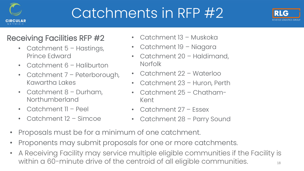

### Catchments in RFP #2



#### Receiving Facilities RFP #2

- Catchment 5 Hastings, Prince Edward
- Catchment 6 Haliburton
- Catchment 7 Peterborough, Kawartha Lakes
- Catchment 8 Durham, Northumberland
- Catchment II Peel
- Catchment 12 Simcoe
- Catchment 13 Muskoka
- Catchment 19 Niagara
- Catchment 20 Haldimand, **Norfolk**
- Catchment 22 Waterloo
- Catchment 23 Huron, Perth
- Catchment 25 Chatham-Kent
- Catchment 27 Essex
- Catchment 28 Parry Sound
- Proposals must be for a minimum of one catchment.
- Proponents may submit proposals for one or more catchments.
- 18 • A Receiving Facility may service multiple eligible communities if the Facility is within a 60-minute drive of the centroid of all eligible communities.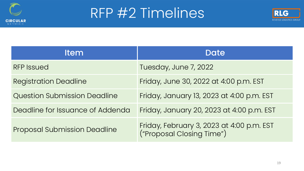

#### RFP #2 Timelines



| <b>Item</b>                         | Date                                                                   |
|-------------------------------------|------------------------------------------------------------------------|
| <b>RFP Issued</b>                   | Tuesday, June 7, 2022                                                  |
| <b>Registration Deadline</b>        | Friday, June 30, 2022 at 4:00 p.m. EST                                 |
| <b>Question Submission Deadline</b> | Friday, January 13, 2023 at 4:00 p.m. EST                              |
| Deadline for Issuance of Addenda    | Friday, January 20, 2023 at 4:00 p.m. EST                              |
| <b>Proposal Submission Deadline</b> | Friday, February 3, 2023 at 4:00 p.m. EST<br>("Proposal Closing Time") |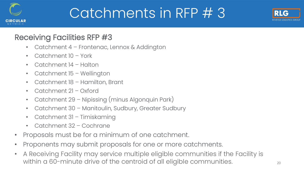

### Catchments in RFP # 3



#### Receiving Facilities RFP #3

- Catchment 4 Frontenac, Lennox & Addington
- Catchment 10 York
- Catchment 14 Halton
- Catchment 15 Wellington
- Catchment 18 Hamilton, Brant
- Catchment 21 Oxford
- Catchment 29 Nipissing (minus Algonquin Park)
- Catchment 30 Manitoulin, Sudbury, Greater Sudbury
- Catchment 31 Timiskaming
- Catchment 32 Cochrane
- Proposals must be for a minimum of one catchment.
- Proponents may submit proposals for one or more catchments.
- A Receiving Facility may service multiple eligible communities if the Facility is within a 60-minute drive of the centroid of all eligible communities.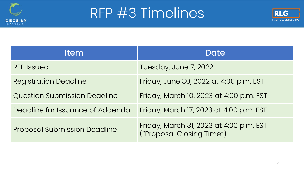

#### RFP #3 Timelines



| <b>Item</b>                         | Date                                                                 |
|-------------------------------------|----------------------------------------------------------------------|
| <b>RFP Issued</b>                   | Tuesday, June 7, 2022                                                |
| <b>Registration Deadline</b>        | Friday, June 30, 2022 at 4:00 p.m. EST                               |
| <b>Question Submission Deadline</b> | Friday, March 10, 2023 at 4:00 p.m. EST                              |
| Deadline for Issuance of Addenda    | Friday, March 17, 2023 at 4:00 p.m. EST                              |
| <b>Proposal Submission Deadline</b> | Friday, March 31, 2023 at 4:00 p.m. EST<br>("Proposal Closing Time") |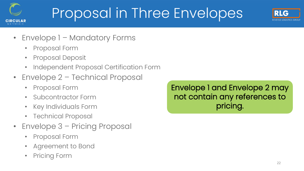

# Proposal in Three Envelopes



- Envelope 1 Mandatory Forms
	- Proposal Form
	- Proposal Deposit
	- Independent Proposal Certification Form
- Envelope 2 Technical Proposal
	- Proposal Form
	- Subcontractor Form
	- Key Individuals Form
	- Technical Proposal
- Envelope 3 Pricing Proposal
	- Proposal Form
	- Agreement to Bond
	- **Pricing Form**

Envelope 1 and Envelope 2 may not contain any references to pricing.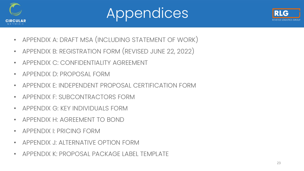





- APPENDIX A: DRAFT MSA (INCLUDING STATEMENT OF WORK)
- APPENDIX B: REGISTRATION FORM (REVISED JUNE 22, 2022)
- APPENDIX C: CONFIDENTIALITY AGREEMENT
- APPENDIX D: PROPOSAL FORM
- APPENDIX E: INDEPENDENT PROPOSAL CERTIFICATION FORM
- APPENDIX F: SUBCONTRACTORS FORM
- APPENDIX G: KEY INDIVIDUALS FORM
- APPENDIX H: AGREEMENT TO BOND
- APPENDIX I: PRICING FORM
- APPENDIX J: ALTERNATIVE OPTION FORM
- APPENDIX K: PROPOSAL PACKAGE LABEL TEMPLATE